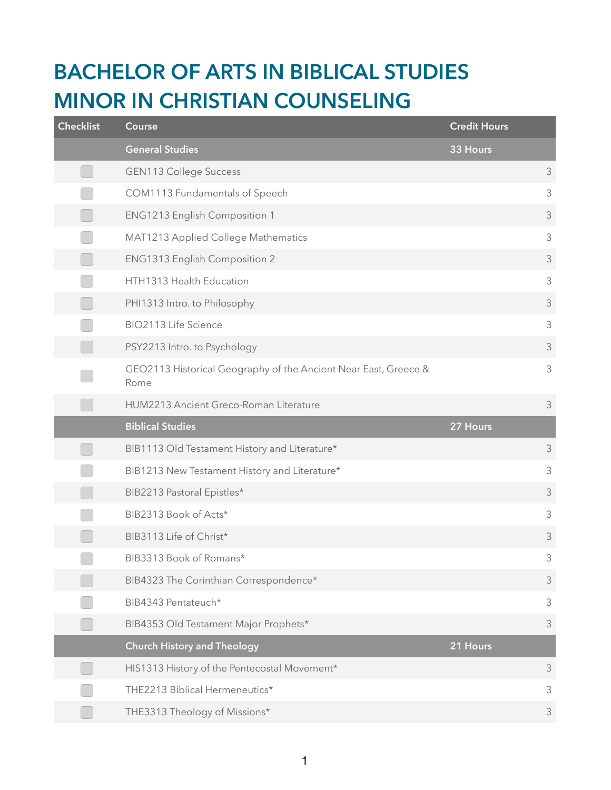## **BACHELOR OF ARTS IN BIBLICAL STUDIES MINOR IN CHRISTIAN COUNSELING**

| <b>Checklist</b> | Course                                                                  | <b>Credit Hours</b> |                |
|------------------|-------------------------------------------------------------------------|---------------------|----------------|
|                  | <b>General Studies</b>                                                  | 33 Hours            |                |
|                  | <b>GEN113 College Success</b>                                           |                     | 3              |
|                  | COM1113 Fundamentals of Speech                                          |                     | $\mathfrak{Z}$ |
|                  | <b>ENG1213 English Composition 1</b>                                    |                     | $\mathfrak{Z}$ |
|                  | MAT1213 Applied College Mathematics                                     |                     | $\mathfrak{Z}$ |
|                  | ENG1313 English Composition 2                                           |                     | 3              |
|                  | HTH1313 Health Education                                                |                     | $\mathfrak{Z}$ |
|                  | PHI1313 Intro. to Philosophy                                            |                     | $\mathfrak{Z}$ |
|                  | BIO2113 Life Science                                                    |                     | $\mathfrak{Z}$ |
|                  | PSY2213 Intro. to Psychology                                            |                     | $\mathfrak{Z}$ |
|                  | GEO2113 Historical Geography of the Ancient Near East, Greece &<br>Rome |                     | $\mathfrak{Z}$ |
|                  | HUM2213 Ancient Greco-Roman Literature                                  |                     | $\mathfrak{Z}$ |
|                  |                                                                         |                     |                |
|                  | <b>Biblical Studies</b>                                                 | 27 Hours            |                |
|                  | BIB1113 Old Testament History and Literature*                           |                     | $\mathfrak{Z}$ |
|                  | BIB1213 New Testament History and Literature*                           |                     | $\mathfrak{Z}$ |
|                  | BIB2213 Pastoral Epistles*                                              |                     | 3              |
|                  | BIB2313 Book of Acts*                                                   |                     | $\mathfrak{Z}$ |
|                  | BIB3113 Life of Christ*                                                 |                     | $\mathfrak{Z}$ |
|                  | BIB3313 Book of Romans*                                                 |                     | 3              |
|                  | BIB4323 The Corinthian Correspondence*                                  |                     | $\mathfrak{Z}$ |
|                  | BIB4343 Pentateuch*                                                     |                     | $\mathfrak{Z}$ |
|                  | BIB4353 Old Testament Major Prophets*                                   |                     | 3              |
|                  | <b>Church History and Theology</b>                                      | 21 Hours            |                |
|                  | HIS1313 History of the Pentecostal Movement*                            |                     | $\mathfrak{Z}$ |
|                  | THE2213 Biblical Hermeneutics*                                          |                     | 3              |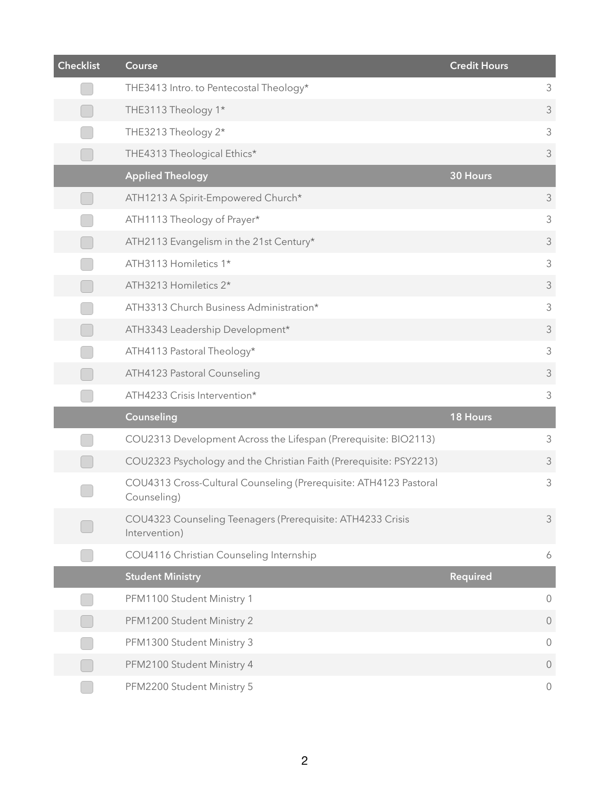| <b>Checklist</b> | <b>Course</b>                                                                    | Credit Hours    |                     |
|------------------|----------------------------------------------------------------------------------|-----------------|---------------------|
|                  | THE3413 Intro. to Pentecostal Theology*                                          |                 | 3                   |
|                  | THE3113 Theology 1*                                                              |                 | 3                   |
|                  | THE3213 Theology 2*                                                              |                 | $\mathsf 3$         |
|                  | THE4313 Theological Ethics*                                                      |                 | 3                   |
|                  | <b>Applied Theology</b>                                                          | 30 Hours        |                     |
|                  | ATH1213 A Spirit-Empowered Church*                                               |                 | 3                   |
|                  | ATH1113 Theology of Prayer*                                                      |                 | 3                   |
|                  | ATH2113 Evangelism in the 21st Century*                                          |                 | 3                   |
|                  | ATH3113 Homiletics 1*                                                            |                 | 3                   |
|                  | ATH3213 Homiletics 2*                                                            |                 | 3                   |
|                  | ATH3313 Church Business Administration*                                          |                 | 3                   |
|                  | ATH3343 Leadership Development*                                                  |                 | 3                   |
|                  | ATH4113 Pastoral Theology*                                                       |                 | 3                   |
|                  | ATH4123 Pastoral Counseling                                                      |                 | 3                   |
|                  | ATH4233 Crisis Intervention*                                                     |                 | 3                   |
|                  | Counseling                                                                       | 18 Hours        |                     |
|                  | COU2313 Development Across the Lifespan (Prerequisite: BIO2113)                  |                 | 3                   |
|                  | COU2323 Psychology and the Christian Faith (Prerequisite: PSY2213)               |                 | 3                   |
|                  | COU4313 Cross-Cultural Counseling (Prerequisite: ATH4123 Pastoral<br>Counseling) |                 | 3                   |
|                  | COU4323 Counseling Teenagers (Prerequisite: ATH4233 Crisis<br>Intervention)      |                 | $\mathfrak{Z}$      |
|                  | COU4116 Christian Counseling Internship                                          |                 | 6                   |
|                  | <b>Student Ministry</b>                                                          | <b>Required</b> |                     |
|                  | PFM1100 Student Ministry 1                                                       |                 | $\bigcirc$          |
|                  | PFM1200 Student Ministry 2                                                       |                 | $\overline{0}$      |
|                  | PFM1300 Student Ministry 3                                                       |                 | $\circ$             |
|                  | PFM2100 Student Ministry 4                                                       |                 | $\overline{0}$      |
|                  | PFM2200 Student Ministry 5                                                       |                 | $\mathsf{O}\xspace$ |